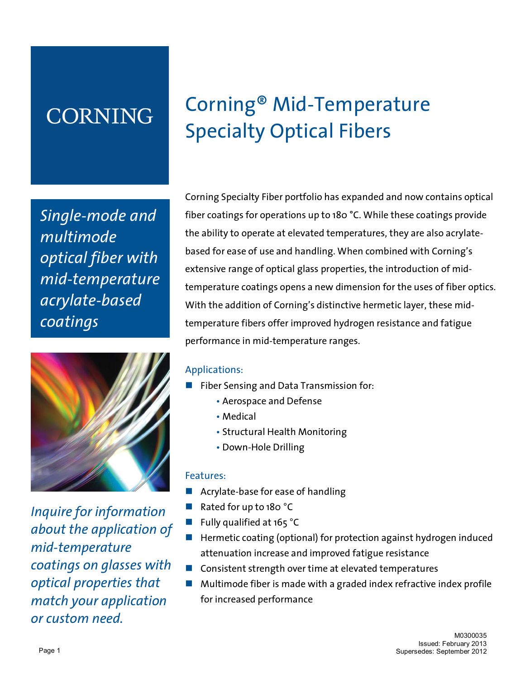# **CORNING**

*Single-mode and multimode optical fiber with mid-temperature acrylate-based coatings* 



*Inquire for information about the application of mid-temperature coatings on glasses with optical properties that match your application or custom need.* 

# Corning® Mid-Temperature Specialty Optical Fibers

Corning Specialty Fiber portfolio has expanded and now contains optical fiber coatings for operations up to 180 °C. While these coatings provide the ability to operate at elevated temperatures, they are also acrylatebased for ease of use and handling. When combined with Corning's extensive range of optical glass properties, the introduction of midtemperature coatings opens a new dimension for the uses of fiber optics. With the addition of Corning's distinctive hermetic layer, these midtemperature fibers offer improved hydrogen resistance and fatigue performance in mid-temperature ranges.

## Applications:

- Fiber Sensing and Data Transmission for:
	- Aerospace and Defense
	- Medical
	- Structural Health Monitoring
	- Down-Hole Drilling

#### Features:

- Acrylate-base for ease of handling
- Rated for up to 180 °C
- Fully qualified at  $165$  °C
- $\blacksquare$  Hermetic coating (optional) for protection against hydrogen induced attenuation increase and improved fatigue resistance
- $\blacksquare$  Consistent strength over time at elevated temperatures
- n Multimode fiber is made with a graded index refractive index profile for increased performance